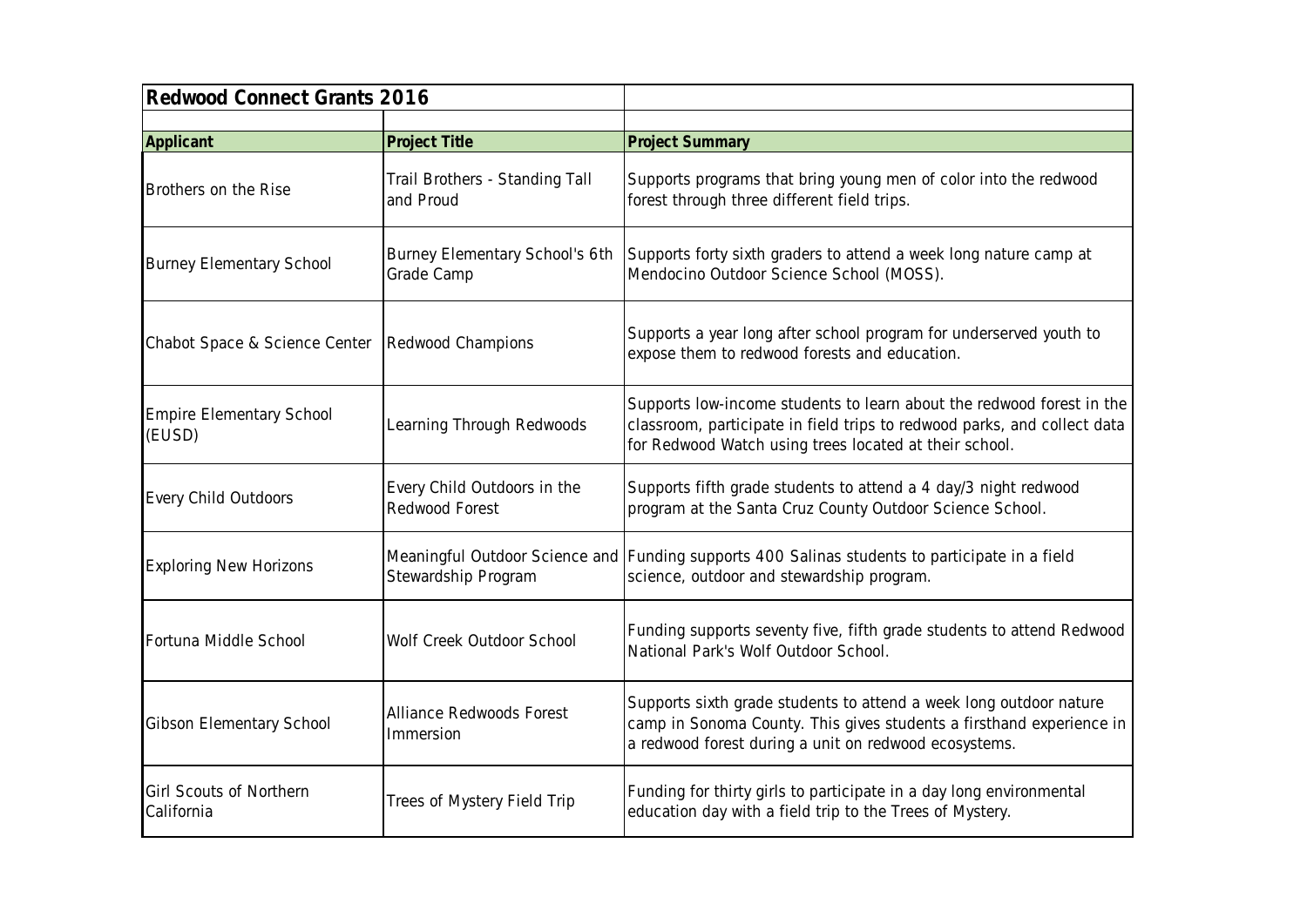| Redwood Connect Grants 2016               |                                                              |                                                                                                                                                                                                             |
|-------------------------------------------|--------------------------------------------------------------|-------------------------------------------------------------------------------------------------------------------------------------------------------------------------------------------------------------|
|                                           |                                                              |                                                                                                                                                                                                             |
| Applicant<br>Brothers on the Rise         | Project Title<br>Trail Brothers - Standing Tall<br>and Proud | <b>Project Summary</b><br>Supports programs that bring young men of color into the redwood<br>forest through three different field trips.                                                                   |
| <b>Burney Elementary School</b>           | Burney Elementary School's 6th<br>Grade Camp                 | Supports forty sixth graders to attend a week long nature camp at<br>Mendocino Outdoor Science School (MOSS).                                                                                               |
| Chabot Space & Science Center             | Redwood Champions                                            | Supports a year long after school program for underserved youth to<br>expose them to redwood forests and education.                                                                                         |
| <b>Empire Elementary School</b><br>(EUSD) | Learning Through Redwoods                                    | Supports low-income students to learn about the redwood forest in the<br>classroom, participate in field trips to redwood parks, and collect data<br>for Redwood Watch using trees located at their school. |
| Every Child Outdoors                      | Every Child Outdoors in the<br>Redwood Forest                | Supports fifth grade students to attend a 4 day/3 night redwood<br>program at the Santa Cruz County Outdoor Science School.                                                                                 |
| <b>Exploring New Horizons</b>             | Stewardship Program                                          | Meaningful Outdoor Science and Funding supports 400 Salinas students to participate in a field<br>science, outdoor and stewardship program.                                                                 |
| Fortuna Middle School                     | Wolf Creek Outdoor School                                    | Funding supports seventy five, fifth grade students to attend Redwood<br>National Park's Wolf Outdoor School.                                                                                               |
| Gibson Elementary School                  | Alliance Redwoods Forest<br>Immersion                        | Supports sixth grade students to attend a week long outdoor nature<br>camp in Sonoma County. This gives students a firsthand experience in<br>a redwood forest during a unit on redwood ecosystems.         |
| Girl Scouts of Northern<br>California     | Trees of Mystery Field Trip                                  | Funding for thirty girls to participate in a day long environmental<br>education day with a field trip to the Trees of Mystery.                                                                             |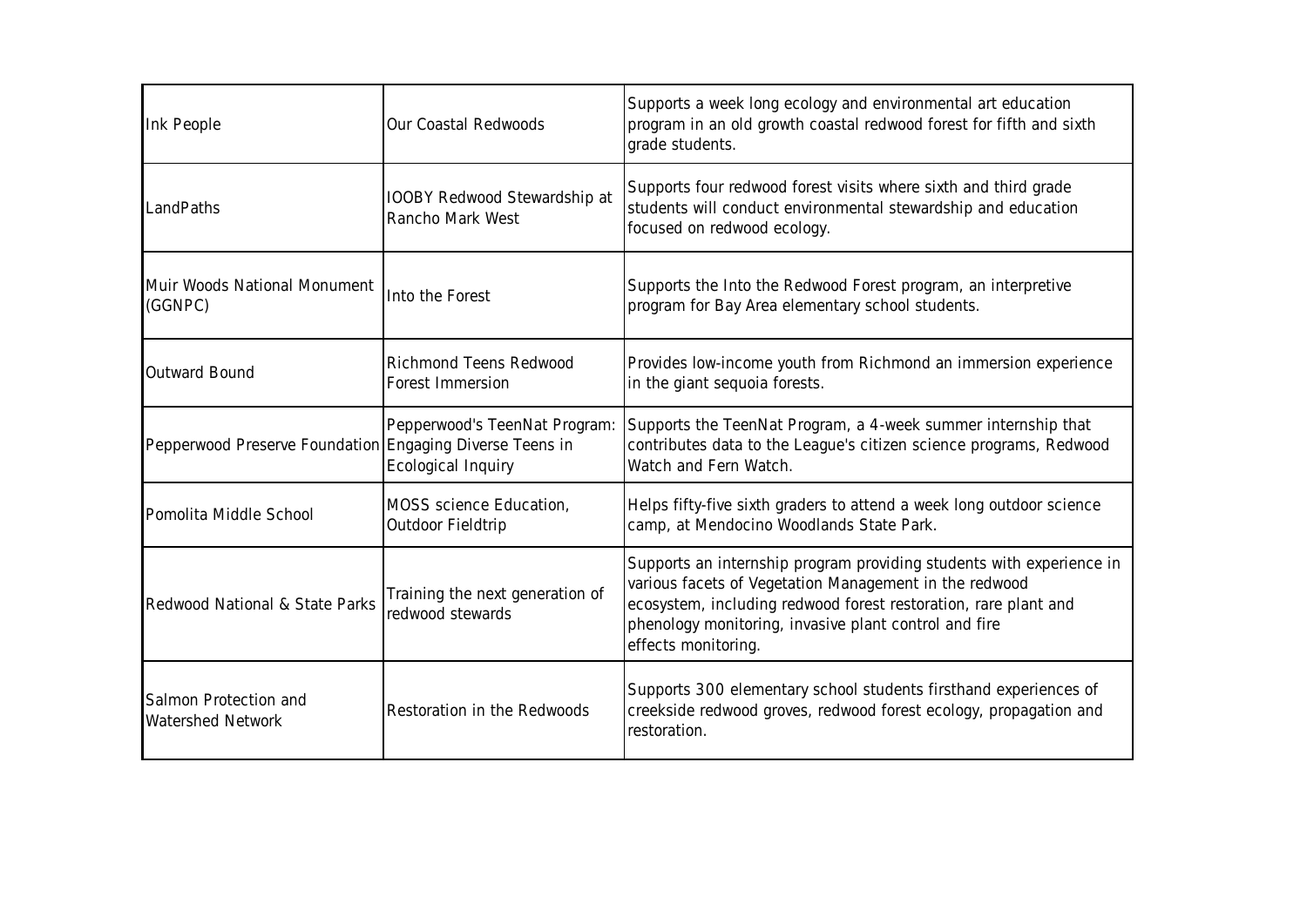| Ink People                                               | Our Coastal Redwoods                                | Supports a week long ecology and environmental art education<br>program in an old growth coastal redwood forest for fifth and sixth<br>grade students.                                                                                                                            |
|----------------------------------------------------------|-----------------------------------------------------|-----------------------------------------------------------------------------------------------------------------------------------------------------------------------------------------------------------------------------------------------------------------------------------|
| LandPaths                                                | IOOBY Redwood Stewardship at<br>Rancho Mark West    | Supports four redwood forest visits where sixth and third grade<br>students will conduct environmental stewardship and education<br>focused on redwood ecology.                                                                                                                   |
| Muir Woods National Monument<br>(GGNPC)                  | Into the Forest                                     | Supports the Into the Redwood Forest program, an interpretive<br>program for Bay Area elementary school students.                                                                                                                                                                 |
| Outward Bound                                            | Richmond Teens Redwood<br>Forest Immersion          | Provides low-income youth from Richmond an immersion experience<br>in the giant sequoia forests.                                                                                                                                                                                  |
| Pepperwood Preserve Foundation Engaging Diverse Teens in | Pepperwood's TeenNat Program:<br>Ecological Inquiry | Supports the TeenNat Program, a 4-week summer internship that<br>contributes data to the League's citizen science programs, Redwood<br>Watch and Fern Watch.                                                                                                                      |
| Pomolita Middle School                                   | MOSS science Education,<br>Outdoor Fieldtrip        | Helps fifty-five sixth graders to attend a week long outdoor science<br>camp, at Mendocino Woodlands State Park.                                                                                                                                                                  |
| Redwood National & State Parks                           | Training the next generation of<br>redwood stewards | Supports an internship program providing students with experience in<br>various facets of Vegetation Management in the redwood<br>ecosystem, including redwood forest restoration, rare plant and<br>phenology monitoring, invasive plant control and fire<br>effects monitoring. |
| Salmon Protection and<br>Watershed Network               | Restoration in the Redwoods                         | Supports 300 elementary school students firsthand experiences of<br>creekside redwood groves, redwood forest ecology, propagation and<br>restoration.                                                                                                                             |